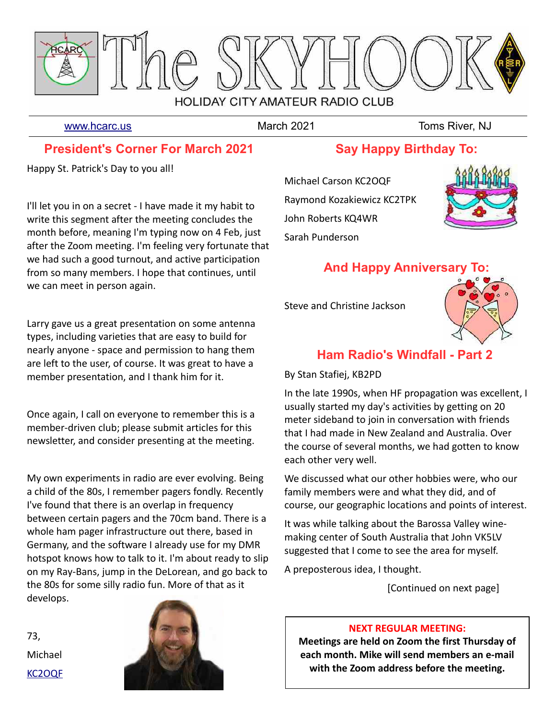

[www.hcarc.us](http://www.hcarc.us/) **March 2021** March 2021 Toms River, NJ

## **President's Corner For March 2021**

Happy St. Patrick's Day to you all!

I'll let you in on a secret - I have made it my habit to write this segment after the meeting concludes the month before, meaning I'm typing now on 4 Feb, just after the Zoom meeting. I'm feeling very fortunate that we had such a good turnout, and active participation from so many members. I hope that continues, until we can meet in person again.

Larry gave us a great presentation on some antenna types, including varieties that are easy to build for nearly anyone - space and permission to hang them are left to the user, of course. It was great to have a member presentation, and I thank him for it.

Once again, I call on everyone to remember this is a member-driven club; please submit articles for this newsletter, and consider presenting at the meeting.

My own experiments in radio are ever evolving. Being a child of the 80s, I remember pagers fondly. Recently I've found that there is an overlap in frequency between certain pagers and the 70cm band. There is a whole ham pager infrastructure out there, based in Germany, and the software I already use for my DMR hotspot knows how to talk to it. I'm about ready to slip on my Ray-Bans, jump in the DeLorean, and go back to the 80s for some silly radio fun. More of that as it develops.

73, Michael [KC2OQF](mailto:kc2oqf@mike-carson.com)



## **Say Happy Birthday To:**

Michael Carson KC2OQF Raymond Kozakiewicz KC2TPK John Roberts KQ4WR Sarah Punderson



# **And Happy Anniversary To:**

Steve and Christine Jackson



# **Ham Radio's Windfall - Part 2**

By Stan Stafiej, KB2PD

In the late 1990s, when HF propagation was excellent, I usually started my day's activities by getting on 20 meter sideband to join in conversation with friends that I had made in New Zealand and Australia. Over the course of several months, we had gotten to know each other very well.

We discussed what our other hobbies were, who our family members were and what they did, and of course, our geographic locations and points of interest.

It was while talking about the Barossa Valley winemaking center of South Australia that John VK5LV suggested that I come to see the area for myself.

A preposterous idea, I thought.

[Continued on next page]

### **NEXT REGULAR MEETING:**

**Meetings are held on Zoom the first Thursday of each month. Mike will send members an e-mail with the Zoom address before the meeting.**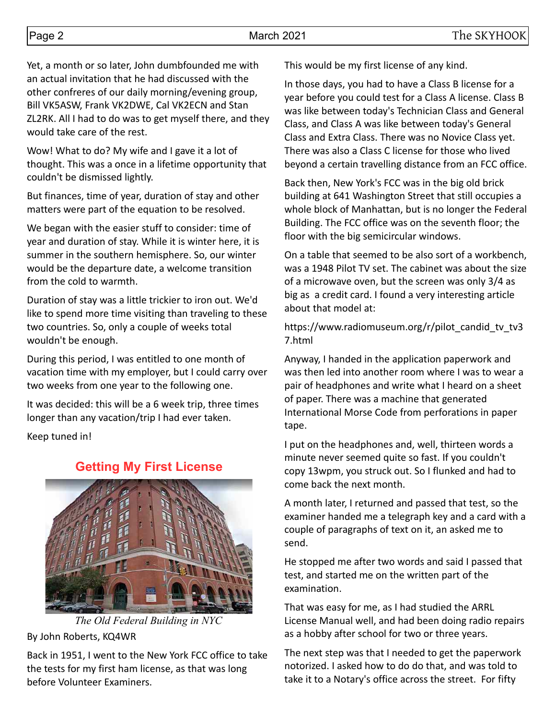Yet, a month or so later, John dumbfounded me with an actual invitation that he had discussed with the other confreres of our daily morning/evening group, Bill VK5ASW, Frank VK2DWE, Cal VK2ECN and Stan ZL2RK. All I had to do was to get myself there, and they would take care of the rest.

Wow! What to do? My wife and I gave it a lot of thought. This was a once in a lifetime opportunity that couldn't be dismissed lightly.

But finances, time of year, duration of stay and other matters were part of the equation to be resolved.

We began with the easier stuff to consider: time of year and duration of stay. While it is winter here, it is summer in the southern hemisphere. So, our winter would be the departure date, a welcome transition from the cold to warmth.

Duration of stay was a little trickier to iron out. We'd like to spend more time visiting than traveling to these two countries. So, only a couple of weeks total wouldn't be enough.

During this period, I was entitled to one month of vacation time with my employer, but I could carry over two weeks from one year to the following one.

It was decided: this will be a 6 week trip, three times longer than any vacation/trip I had ever taken.

Keep tuned in!

## **Getting My First License**



*The Old Federal Building in NYC*

By John Roberts, KQ4WR

Back in 1951, I went to the New York FCC office to take the tests for my first ham license, as that was long before Volunteer Examiners.

This would be my first license of any kind.

In those days, you had to have a Class B license for a year before you could test for a Class A license. Class B was like between today's Technician Class and General Class, and Class A was like between today's General Class and Extra Class. There was no Novice Class yet. There was also a Class C license for those who lived beyond a certain travelling distance from an FCC office.

Back then, New York's FCC was in the big old brick building at 641 Washington Street that still occupies a whole block of Manhattan, but is no longer the Federal Building. The FCC office was on the seventh floor; the floor with the big semicircular windows.

On a table that seemed to be also sort of a workbench, was a 1948 Pilot TV set. The cabinet was about the size of a microwave oven, but the screen was only 3/4 as big as a credit card. I found a very interesting article about that model at:

https://www.radiomuseum.org/r/pilot\_candid\_tv\_tv3 7.html

Anyway, I handed in the application paperwork and was then led into another room where I was to wear a pair of headphones and write what I heard on a sheet of paper. There was a machine that generated International Morse Code from perforations in paper tape.

I put on the headphones and, well, thirteen words a minute never seemed quite so fast. If you couldn't copy 13wpm, you struck out. So I flunked and had to come back the next month.

A month later, I returned and passed that test, so the examiner handed me a telegraph key and a card with a couple of paragraphs of text on it, an asked me to send.

He stopped me after two words and said I passed that test, and started me on the written part of the examination.

That was easy for me, as I had studied the ARRL License Manual well, and had been doing radio repairs as a hobby after school for two or three years.

The next step was that I needed to get the paperwork notorized. I asked how to do do that, and was told to take it to a Notary's office across the street. For fifty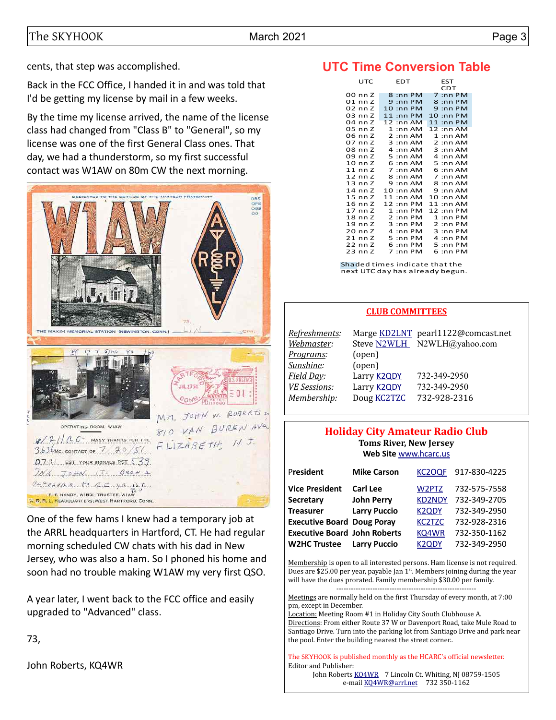cents, that step was accomplished.

Back in the FCC Office, I handed it in and was told that I'd be getting my license by mail in a few weeks.

By the time my license arrived, the name of the license class had changed from "Class B" to "General", so my license was one of the first General Class ones. That day, we had a thunderstorm, so my first successful contact was W1AW on 80m CW the next morning.



One of the few hams I knew had a temporary job at the ARRL headquarters in Hartford, CT. He had regular morning scheduled CW chats with his dad in New Jersey, who was also a ham. So I phoned his home and soon had no trouble making W1AW my very first QSO.

A year later, I went back to the FCC office and easily upgraded to "Advanced" class.

73,

John Roberts, KQ4WR

# **UTC Time Conversion Table**

| UTC                | <b>EDT</b>                  | EST         |  |  |
|--------------------|-----------------------------|-------------|--|--|
|                    |                             | CDT         |  |  |
| 00 nn Z            | 8:nn PM                     | 7 :nn PM    |  |  |
| 01 nn Z            | $9:$ nn PM                  | $8:$ nn PM  |  |  |
| 02 nn Z            | 10 :nn PM                   | $9:$ nn PM  |  |  |
| 03 nn Z            | $11:$ nn PM                 | 10 :nn PM   |  |  |
| 04 nn Z            | $12:$ nn AM                 | $11:$ nn PM |  |  |
| 05 nn Z            | $1:$ nn AM                  | 12 :nn AM   |  |  |
| 06 nn Z            | 2:nnAM                      | $1:$ nn AM  |  |  |
| 07 nn Z            | $3:$ nn AM                  | 2:nnAM      |  |  |
| 08 nn Z            | 4:nnAM                      | $3:$ nn AM  |  |  |
| 09 nn Z            | 5:nnAM                      | 4:nnAM      |  |  |
| $10 \text{ nn } 2$ | $6:$ nn AM                  | $5:$ nn AM  |  |  |
| $11$ nn Z          | : $nnAM$<br>$\overline{7}$  | 6 :nn AM    |  |  |
| $12$ nn $Z$        | 8 :nn AM                    | $7:$ nn AM  |  |  |
| $13 \text{ nn Z}$  | $9:$ nn AM                  | 8 :nn AM    |  |  |
| 14 nn Z            | $10:$ nn AM                 | 9 :nn AM    |  |  |
| $15$ nn $Z$        | 11 :nn AM                   | 10 :nn AM   |  |  |
| $16$ nn $Z$        | 12 :nn PM                   | 11 :nn AM   |  |  |
| 17 nn Z            | : $nn$ $PM$<br>$\mathbf{1}$ | $12:$ nn PM |  |  |
| $18$ nn $Z$        | $2:$ nn PM                  | $1:$ nn PM  |  |  |
| 19 nn Z            | $3:$ nn PM                  | 2:nn PM     |  |  |
| 20 nn Z            | 4:nn PM                     | $3:$ nn PM  |  |  |
|                    |                             |             |  |  |
| 21 nn Z            | 5:nnPM                      | 4 :nn PM    |  |  |
| 22 nn Z            | 6 :nn PM                    | $5:$ nn PM  |  |  |
| $23$ nn $Z$        | 7:nn PM                     | 6 :nn PM    |  |  |

Shaded times indicate that the next UTC day has already begun.

#### **CLUB COMMITTEES**

| Refreshments:       |                    | Marge KD2LNT pearl1122@comcast.net |
|---------------------|--------------------|------------------------------------|
| Webmaster:          |                    | Steve N2WLH N2WLH@yahoo.com        |
| Programs:           | (open)             |                                    |
| Sunshine:           | (open)             |                                    |
| Field Day:          | Larry <b>K2QDY</b> | 732-349-2950                       |
| <b>VE Sessions:</b> | Larry <b>K2QDY</b> | 732-349-2950                       |
| Membership:         | Doug <b>KC2TZC</b> | 732-928-2316                       |

#### **Holiday City Amateur Radio Club Toms River, New Jersey Web Site** [www.hcarc.us](http://www.hcarc.us/)

| President                           | <b>Mike Carson</b>  | <b>KC2OQF</b>      | 917-830-4225 |
|-------------------------------------|---------------------|--------------------|--------------|
| <b>Vice President</b>               | Carl Lee            | W2PTZ              | 732-575-7558 |
| Secretary                           | <b>John Perry</b>   | <b>KD2NDY</b>      | 732-349-2705 |
| <b>Treasurer</b>                    | <b>Larry Puccio</b> | <b>K2QDY</b>       | 732-349-2950 |
| <b>Executive Board Doug Poray</b>   |                     | <b>KC2TZC</b>      | 732-928-2316 |
| <b>Executive Board John Roberts</b> |                     | KQ4WR              | 732-350-1162 |
| <b>W2HC Trustee</b>                 | <b>Larry Puccio</b> | K <sub>2</sub> ODY | 732-349-2950 |

Membership is open to all interested persons. Ham license is not required. Dues are \$25.00 per year, payable Jan  $1<sup>st</sup>$ . Members joining during the year will have the dues prorated. Family membership \$30.00 per family.

---------------------------------------------------------- Meetings are normally held on the first Thursday of every month, at 7:00

pm, except in December. Location: Meeting Room #1 in Holiday City South Clubhouse A. Directions: From either Route 37 W or Davenport Road, take Mule Road to Santiago Drive. Turn into the parking lot from Santiago Drive and park near the pool. Enter the building nearest the street corner..

The SKYHOOK is published monthly as the HCARC's official newsletter. Editor and Publisher:

John Roberts [KQ4WR](mailto:kq4wr@arrl.net) 7 Lincoln Ct. Whiting, NJ 08759-1505 e-mail [KQ4WR@arrl.net](mailto:KQ4WR@arrl.net) 732 350-1162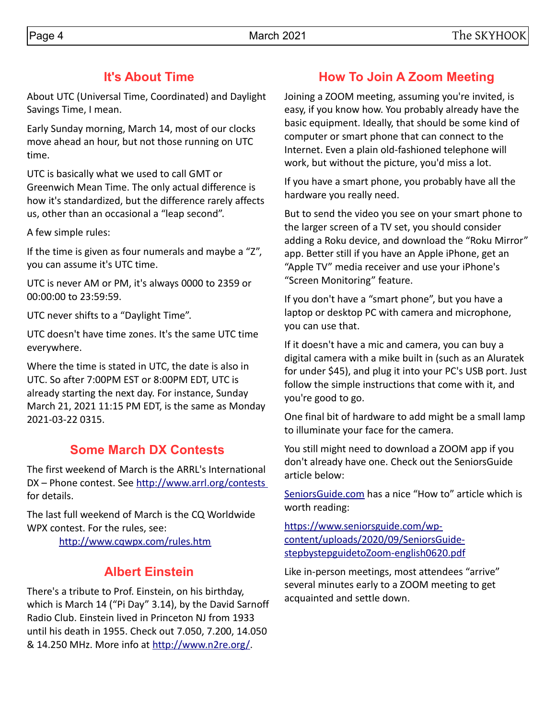About UTC (Universal Time, Coordinated) and Daylight Savings Time, I mean.

Early Sunday morning, March 14, most of our clocks move ahead an hour, but not those running on UTC time.

UTC is basically what we used to call GMT or Greenwich Mean Time. The only actual difference is how it's standardized, but the difference rarely affects us, other than an occasional a "leap second".

A few simple rules:

If the time is given as four numerals and maybe a "Z", you can assume it's UTC time.

UTC is never AM or PM, it's always 0000 to 2359 or 00:00:00 to 23:59:59.

UTC never shifts to a "Daylight Time".

UTC doesn't have time zones. It's the same UTC time everywhere.

Where the time is stated in UTC, the date is also in UTC. So after 7:00PM EST or 8:00PM EDT, UTC is already starting the next day. For instance, Sunday March 21, 2021 11:15 PM EDT, is the same as Monday 2021-03-22 0315.

# **Some March DX Contests**

The first weekend of March is the ARRL's International DX – Phone contest. See http://www.arrl.org/contests for details.

The last full weekend of March is the CQ Worldwide WPX contest. For the rules, see: <http://www.cqwpx.com/rules.htm>

# **Albert Einstein**

There's a tribute to Prof. Einstein, on his birthday, which is March 14 ("Pi Day" 3.14), by the David Sarnoff Radio Club. Einstein lived in Princeton NJ from 1933 until his death in 1955. Check out 7.050, 7.200, 14.050 & 14.250 MHz. More info at [http://www.n2re.org/.](http://www.n2re.com/)

# **How To Join A Zoom Meeting**

Joining a ZOOM meeting, assuming you're invited, is easy, if you know how. You probably already have the basic equipment. Ideally, that should be some kind of computer or smart phone that can connect to the Internet. Even a plain old-fashioned telephone will work, but without the picture, you'd miss a lot.

If you have a smart phone, you probably have all the hardware you really need.

But to send the video you see on your smart phone to the larger screen of a TV set, you should consider adding a Roku device, and download the "Roku Mirror" app. Better still if you have an Apple iPhone, get an "Apple TV" media receiver and use your iPhone's "Screen Monitoring" feature.

If you don't have a "smart phone", but you have a laptop or desktop PC with camera and microphone, you can use that.

If it doesn't have a mic and camera, you can buy a digital camera with a mike built in (such as an Aluratek for under \$45), and plug it into your PC's USB port. Just follow the simple instructions that come with it, and you're good to go.

One final bit of hardware to add might be a small lamp to illuminate your face for the camera.

You still might need to download a ZOOM app if you don't already have one. Check out the SeniorsGuide article below:

[SeniorsGuide.com](http://SeniorsGuide.com/) has a nice "How to" article which is worth reading:

[https://www.seniorsguide.com/wp](https://www.seniorsguide.com/wp-content/uploads/2020/09/SeniorsGuide-stepbystepguidetoZoom-english0620.pdf)[content/uploads/2020/09/SeniorsGuide](https://www.seniorsguide.com/wp-content/uploads/2020/09/SeniorsGuide-stepbystepguidetoZoom-english0620.pdf)[stepbystepguidetoZoom-english0620.pdf](https://www.seniorsguide.com/wp-content/uploads/2020/09/SeniorsGuide-stepbystepguidetoZoom-english0620.pdf)

Like in-person meetings, most attendees "arrive" several minutes early to a ZOOM meeting to get acquainted and settle down.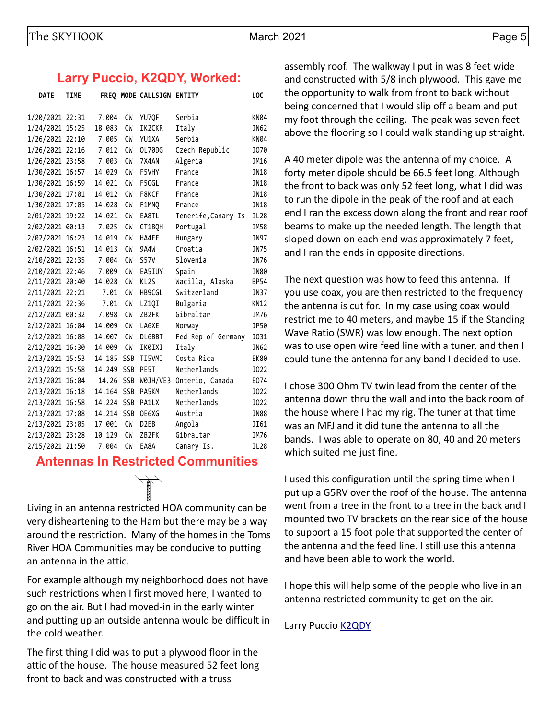## **Larry Puccio, K2QDY, Worked:**

| <b>DATE</b>     | <b>TIME</b> |            |            | FREQ MODE CALLSIGN ENTITY |                     | LOC         |
|-----------------|-------------|------------|------------|---------------------------|---------------------|-------------|
| 1/20/2021 22:31 |             | 7.004      | CM         | YU70F                     | Serbia              | <b>KN04</b> |
| 1/24/2021 15:25 |             | 18.083     | CW         | IK2CKR                    | Italy               | JN62        |
| 1/26/2021 22:10 |             | 7.005      | CW         | YU1XA                     | Serbia              | <b>KN04</b> |
| 1/26/2021 22:16 |             | 7.012      | CW         | OL70DG                    | Czech Republic      | J070        |
| 1/26/2021 23:58 |             | 7.003      | CW         | 7X4AN                     | Algeria             | JM16        |
| 1/30/2021 16:57 |             | 14.029     | CW         | F5VHY                     | France              | JN18        |
| 1/30/2021 16:59 |             | 14.021     | CW         | F50GL                     | France              | JN18        |
| 1/30/2021 17:01 |             | 14.012     | CW         | F8KCF                     | France              | JN18        |
| 1/30/2021 17:05 |             | 14.028     | CW         | F1MNQ                     | France              | JN18        |
| 2/01/2021 19:22 |             | 14.021     | CW         | EA8TL                     | Tenerife, Canary Is | <b>IL28</b> |
| 2/02/2021 00:13 |             | 7.025      | CW         | CT1BQH                    | Portugal            | IM58        |
| 2/02/2021 16:23 |             | 14.019     | CW         | HA4FF                     | Hungary             | JN97        |
| 2/02/2021 16:51 |             | 14.013     | <b>CW</b>  | 9A4W                      | Croatia             | JN75        |
| 2/10/2021 22:35 |             | 7.004      | CW         | <b>S57V</b>               | Slovenia            | JN76        |
| 2/10/2021 22:46 |             | 7.009      | CW         | EA5IUY                    | Spain               | IN80        |
| 2/11/2021 20:40 |             | 14.028     | <b>CW</b>  | KL <sub>25</sub>          | Wacilla, Alaska     | <b>BP54</b> |
| 2/11/2021 22:21 |             | 7.01       | <b>CW</b>  | HB9CGL                    | Switzerland         | JN37        |
| 2/11/2021 22:36 |             | 7.01       | CW         | LZ1QI                     | Bulgaria            | <b>KN12</b> |
| 2/12/2021 00:32 |             | 7.098      | CW         | ZB2FK                     | Gibraltar           | IM76        |
| 2/12/2021 16:04 |             | 14.009     | <b>CW</b>  | LA6XE                     | Norway              | JP50        |
| 2/12/2021 16:08 |             | 14.007     | <b>CW</b>  | DL6BBT                    | Fed Rep of Germany  | <b>J031</b> |
| 2/12/2021 16:30 |             | 14.009     | CW         | IK0IXI                    | Italy               | JN62        |
| 2/13/2021 15:53 |             | 14.185     | <b>SSB</b> | TI5VMJ                    | Costa Rica          | <b>EK80</b> |
| 2/13/2021 15:58 |             | 14.249 SSB |            | PE5T                      | Netherlands         | <b>J022</b> |
| 2/13/2021 16:04 |             | 14.26      | SSB        | WOJH/VE3                  | Onterio, Canada     | E074        |
| 2/13/2021 16:18 |             | 14.164     | SSB        | PA5KM                     | Netherlands         | <b>J022</b> |
| 2/13/2021 16:58 |             | 14.224 SSB |            | PA1LX                     | Netherlands         | <b>J022</b> |
| 2/13/2021 17:08 |             | 14.214 SSB |            | OE6XG                     | Austria             | <b>JN88</b> |
| 2/13/2021 23:05 |             | 17.001     | <b>CW</b>  | D <sub>2EB</sub>          | Angola              | JI61        |
| 2/13/2021 23:28 |             | 10.129     | <b>CW</b>  | ZB2FK                     | Gibraltar           | IM76        |
| 2/15/2021 21:50 |             | 7.004      | <b>CW</b>  | EA8A                      | Canary Is.          | <b>IL28</b> |

## **Antennas In Restricted Communities**



Living in an antenna restricted HOA community can be very disheartening to the Ham but there may be a way around the restriction. Many of the homes in the Toms River HOA Communities may be conducive to putting an antenna in the attic.

For example although my neighborhood does not have such restrictions when I first moved here, I wanted to go on the air. But I had moved-in in the early winter and putting up an outside antenna would be difficult in the cold weather.

The first thing I did was to put a plywood floor in the attic of the house. The house measured 52 feet long front to back and was constructed with a truss

assembly roof. The walkway I put in was 8 feet wide and constructed with 5/8 inch plywood. This gave me the opportunity to walk from front to back without being concerned that I would slip off a beam and put my foot through the ceiling. The peak was seven feet above the flooring so I could walk standing up straight.

A 40 meter dipole was the antenna of my choice. A forty meter dipole should be 66.5 feet long. Although the front to back was only 52 feet long, what I did was to run the dipole in the peak of the roof and at each end I ran the excess down along the front and rear roof beams to make up the needed length. The length that sloped down on each end was approximately 7 feet, and I ran the ends in opposite directions.

The next question was how to feed this antenna. If you use coax, you are then restricted to the frequency the antenna is cut for. In my case using coax would restrict me to 40 meters, and maybe 15 if the Standing Wave Ratio (SWR) was low enough. The next option was to use open wire feed line with a tuner, and then I could tune the antenna for any band I decided to use.

I chose 300 Ohm TV twin lead from the center of the antenna down thru the wall and into the back room of the house where I had my rig. The tuner at that time was an MFJ and it did tune the antenna to all the bands. I was able to operate on 80, 40 and 20 meters which suited me just fine.

I used this configuration until the spring time when I put up a G5RV over the roof of the house. The antenna went from a tree in the front to a tree in the back and I mounted two TV brackets on the rear side of the house to support a 15 foot pole that supported the center of the antenna and the feed line. I still use this antenna and have been able to work the world.

I hope this will help some of the people who live in an antenna restricted community to get on the air.

Larry Puccio [K2QDY](mailto:lpuccio071@gmail.com)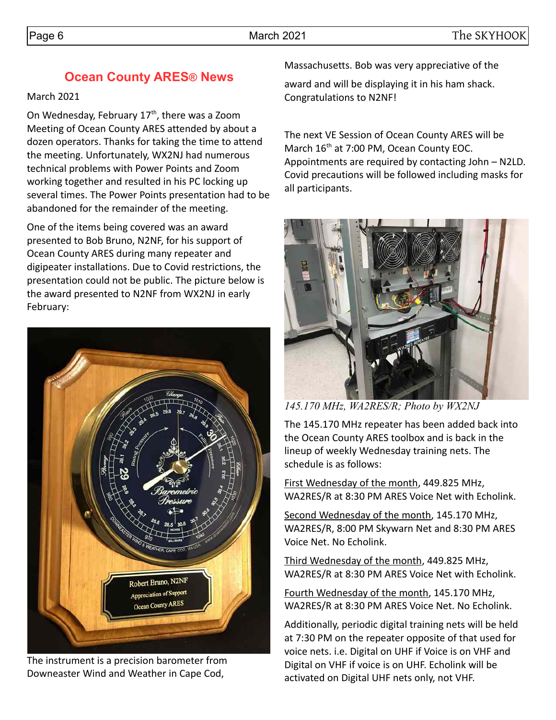# **Ocean County ARES® News**

## March 2021

On Wednesday, February  $17<sup>th</sup>$ , there was a Zoom Meeting of Ocean County ARES attended by about a dozen operators. Thanks for taking the time to attend the meeting. Unfortunately, WX2NJ had numerous technical problems with Power Points and Zoom working together and resulted in his PC locking up several times. The Power Points presentation had to be abandoned for the remainder of the meeting.

One of the items being covered was an award presented to Bob Bruno, N2NF, for his support of Ocean County ARES during many repeater and digipeater installations. Due to Covid restrictions, the presentation could not be public. The picture below is the award presented to N2NF from WX2NJ in early February:



The instrument is a precision barometer from Downeaster Wind and Weather in Cape Cod,

Massachusetts. Bob was very appreciative of the

award and will be displaying it in his ham shack. Congratulations to N2NF!

The next VE Session of Ocean County ARES will be March 16<sup>th</sup> at 7:00 PM, Ocean County EOC. Appointments are required by contacting John – N2LD. Covid precautions will be followed including masks for all participants.



*145.170 MHz, WA2RES/R; Photo by WX2NJ*

The 145.170 MHz repeater has been added back into the Ocean County ARES toolbox and is back in the lineup of weekly Wednesday training nets. The schedule is as follows:

First Wednesday of the month, 449.825 MHz, WA2RES/R at 8:30 PM ARES Voice Net with Echolink.

Second Wednesday of the month, 145.170 MHz, WA2RES/R, 8:00 PM Skywarn Net and 8:30 PM ARES Voice Net. No Echolink.

Third Wednesday of the month, 449.825 MHz, WA2RES/R at 8:30 PM ARES Voice Net with Echolink.

Fourth Wednesday of the month, 145.170 MHz, WA2RES/R at 8:30 PM ARES Voice Net. No Echolink.

Additionally, periodic digital training nets will be held at 7:30 PM on the repeater opposite of that used for voice nets. i.e. Digital on UHF if Voice is on VHF and Digital on VHF if voice is on UHF. Echolink will be activated on Digital UHF nets only, not VHF.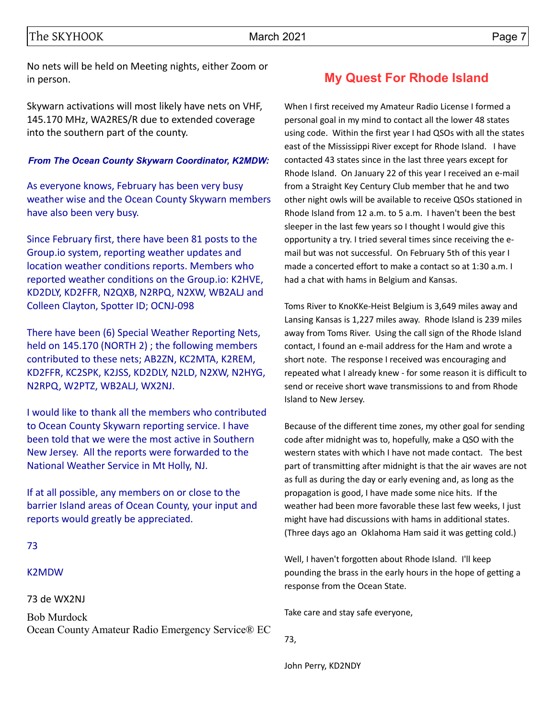No nets will be held on Meeting nights, either Zoom or in person.

Skywarn activations will most likely have nets on VHF, 145.170 MHz, WA2RES/R due to extended coverage into the southern part of the county.

#### *From The Ocean County Skywarn Coordinator, K2MDW:*

As everyone knows, February has been very busy weather wise and the Ocean County Skywarn members have also been very busy.

Since February first, there have been 81 posts to the Group.io system, reporting weather updates and location weather conditions reports. Members who reported weather conditions on the Group.io: K2HVE, KD2DLY, KD2FFR, N2QXB, N2RPQ, N2XW, WB2ALJ and Colleen Clayton, Spotter ID; OCNJ-098

There have been (6) Special Weather Reporting Nets, held on 145.170 (NORTH 2) ; the following members contributed to these nets; AB2ZN, KC2MTA, K2REM, KD2FFR, KC2SPK, K2JSS, KD2DLY, N2LD, N2XW, N2HYG, N2RPQ, W2PTZ, WB2ALJ, WX2NJ.

I would like to thank all the members who contributed to Ocean County Skywarn reporting service. I have been told that we were the most active in Southern New Jersey. All the reports were forwarded to the National Weather Service in Mt Holly, NJ.

If at all possible, any members on or close to the barrier Island areas of Ocean County, your input and reports would greatly be appreciated.

#### 73

#### K2MDW

#### 73 de WX2NJ

Bob Murdock Ocean County Amateur Radio Emergency Service® EC

## **My Quest For Rhode Island**

When I first received my Amateur Radio License I formed a personal goal in my mind to contact all the lower 48 states using code. Within the first year I had QSOs with all the states east of the Mississippi River except for Rhode Island. I have contacted 43 states since in the last three years except for Rhode Island. On January 22 of this year I received an e-mail from a Straight Key Century Club member that he and two other night owls will be available to receive QSOs stationed in Rhode Island from 12 a.m. to 5 a.m. I haven't been the best sleeper in the last few years so I thought I would give this opportunity a try. I tried several times since receiving the email but was not successful. On February 5th of this year I made a concerted effort to make a contact so at 1:30 a.m. I had a chat with hams in Belgium and Kansas.

Toms River to KnoKKe-Heist Belgium is 3,649 miles away and Lansing Kansas is 1,227 miles away. Rhode Island is 239 miles away from Toms River. Using the call sign of the Rhode Island contact, I found an e-mail address for the Ham and wrote a short note. The response I received was encouraging and repeated what I already knew - for some reason it is difficult to send or receive short wave transmissions to and from Rhode Island to New Jersey.

Because of the different time zones, my other goal for sending code after midnight was to, hopefully, make a QSO with the western states with which I have not made contact. The best part of transmitting after midnight is that the air waves are not as full as during the day or early evening and, as long as the propagation is good, I have made some nice hits. If the weather had been more favorable these last few weeks, I just might have had discussions with hams in additional states. (Three days ago an Oklahoma Ham said it was getting cold.)

Well, I haven't forgotten about Rhode Island. I'll keep pounding the brass in the early hours in the hope of getting a response from the Ocean State.

Take care and stay safe everyone,

73,

John Perry, KD2NDY